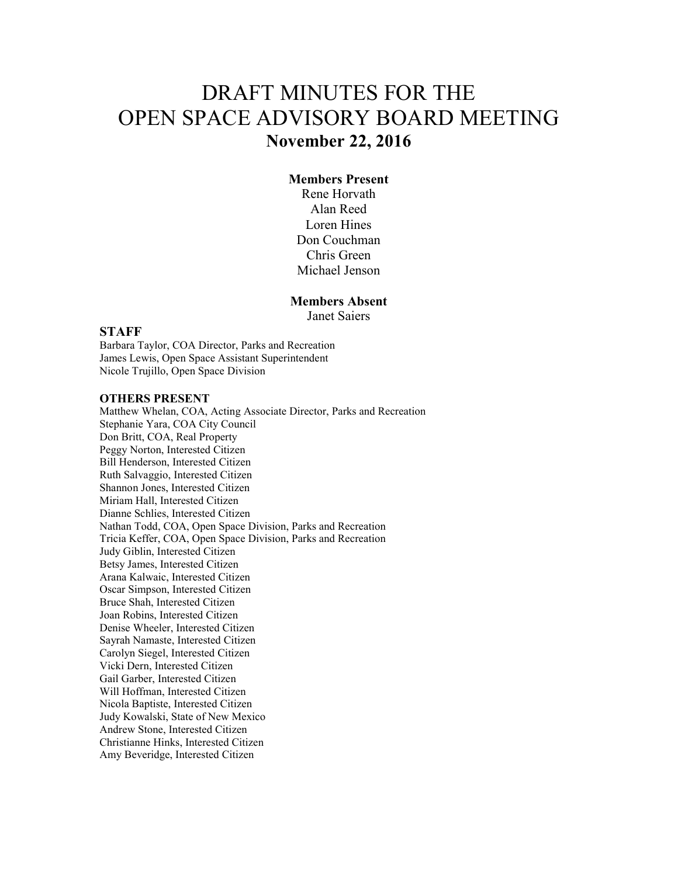# DRAFT MINUTES FOR THE OPEN SPACE ADVISORY BOARD MEETING **November 22, 2016**

#### **Members Present**

Rene Horvath Alan Reed Loren Hines Don Couchman Chris Green Michael Jenson

#### **Members Absent**

Janet Saiers

#### **STAFF**

Barbara Taylor, COA Director, Parks and Recreation James Lewis, Open Space Assistant Superintendent Nicole Trujillo, Open Space Division

#### **OTHERS PRESENT**

Matthew Whelan, COA, Acting Associate Director, Parks and Recreation Stephanie Yara, COA City Council Don Britt, COA, Real Property Peggy Norton, Interested Citizen Bill Henderson, Interested Citizen Ruth Salvaggio, Interested Citizen Shannon Jones, Interested Citizen Miriam Hall, Interested Citizen Dianne Schlies, Interested Citizen Nathan Todd, COA, Open Space Division, Parks and Recreation Tricia Keffer, COA, Open Space Division, Parks and Recreation Judy Giblin, Interested Citizen Betsy James, Interested Citizen Arana Kalwaic, Interested Citizen Oscar Simpson, Interested Citizen Bruce Shah, Interested Citizen Joan Robins, Interested Citizen Denise Wheeler, Interested Citizen Sayrah Namaste, Interested Citizen Carolyn Siegel, Interested Citizen Vicki Dern, Interested Citizen Gail Garber, Interested Citizen Will Hoffman, Interested Citizen Nicola Baptiste, Interested Citizen Judy Kowalski, State of New Mexico Andrew Stone, Interested Citizen Christianne Hinks, Interested Citizen Amy Beveridge, Interested Citizen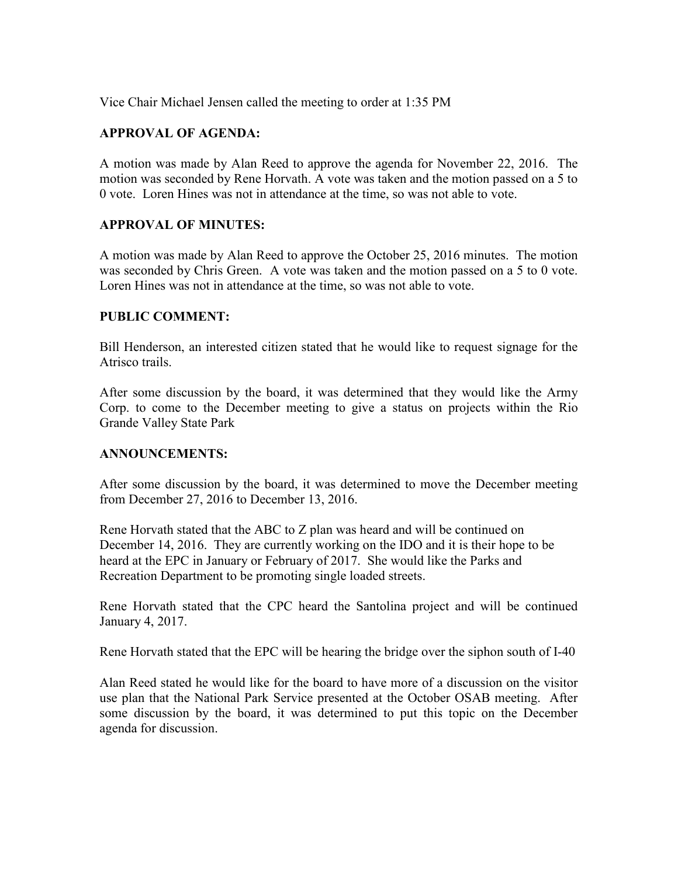Vice Chair Michael Jensen called the meeting to order at 1:35 PM

### **APPROVAL OF AGENDA:**

A motion was made by Alan Reed to approve the agenda for November 22, 2016. The motion was seconded by Rene Horvath. A vote was taken and the motion passed on a 5 to 0 vote. Loren Hines was not in attendance at the time, so was not able to vote.

#### **APPROVAL OF MINUTES:**

A motion was made by Alan Reed to approve the October 25, 2016 minutes. The motion was seconded by Chris Green. A vote was taken and the motion passed on a 5 to 0 vote. Loren Hines was not in attendance at the time, so was not able to vote.

#### **PUBLIC COMMENT:**

Bill Henderson, an interested citizen stated that he would like to request signage for the Atrisco trails.

After some discussion by the board, it was determined that they would like the Army Corp. to come to the December meeting to give a status on projects within the Rio Grande Valley State Park

#### **ANNOUNCEMENTS:**

After some discussion by the board, it was determined to move the December meeting from December 27, 2016 to December 13, 2016.

Rene Horvath stated that the ABC to Z plan was heard and will be continued on December 14, 2016. They are currently working on the IDO and it is their hope to be heard at the EPC in January or February of 2017. She would like the Parks and Recreation Department to be promoting single loaded streets.

Rene Horvath stated that the CPC heard the Santolina project and will be continued January 4, 2017.

Rene Horvath stated that the EPC will be hearing the bridge over the siphon south of I-40

Alan Reed stated he would like for the board to have more of a discussion on the visitor use plan that the National Park Service presented at the October OSAB meeting. After some discussion by the board, it was determined to put this topic on the December agenda for discussion.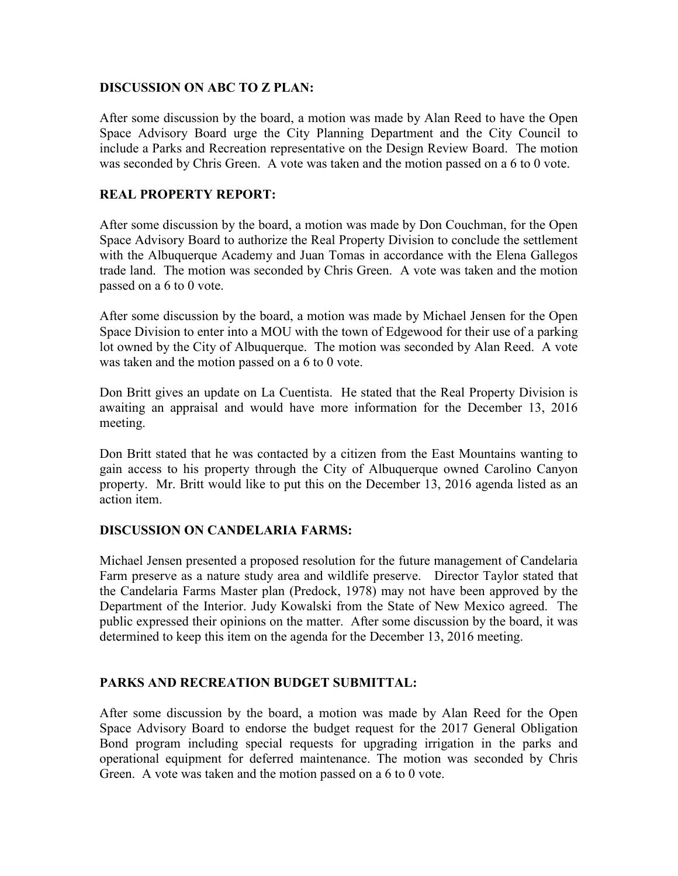#### **DISCUSSION ON ABC TO Z PLAN:**

After some discussion by the board, a motion was made by Alan Reed to have the Open Space Advisory Board urge the City Planning Department and the City Council to include a Parks and Recreation representative on the Design Review Board. The motion was seconded by Chris Green. A vote was taken and the motion passed on a 6 to 0 vote.

### **REAL PROPERTY REPORT:**

After some discussion by the board, a motion was made by Don Couchman, for the Open Space Advisory Board to authorize the Real Property Division to conclude the settlement with the Albuquerque Academy and Juan Tomas in accordance with the Elena Gallegos trade land. The motion was seconded by Chris Green. A vote was taken and the motion passed on a 6 to 0 vote.

After some discussion by the board, a motion was made by Michael Jensen for the Open Space Division to enter into a MOU with the town of Edgewood for their use of a parking lot owned by the City of Albuquerque. The motion was seconded by Alan Reed. A vote was taken and the motion passed on a 6 to 0 vote.

Don Britt gives an update on La Cuentista. He stated that the Real Property Division is awaiting an appraisal and would have more information for the December 13, 2016 meeting.

Don Britt stated that he was contacted by a citizen from the East Mountains wanting to gain access to his property through the City of Albuquerque owned Carolino Canyon property. Mr. Britt would like to put this on the December 13, 2016 agenda listed as an action item.

#### **DISCUSSION ON CANDELARIA FARMS:**

Michael Jensen presented a proposed resolution for the future management of Candelaria Farm preserve as a nature study area and wildlife preserve. Director Taylor stated that the Candelaria Farms Master plan (Predock, 1978) may not have been approved by the Department of the Interior. Judy Kowalski from the State of New Mexico agreed. The public expressed their opinions on the matter. After some discussion by the board, it was determined to keep this item on the agenda for the December 13, 2016 meeting.

## **PARKS AND RECREATION BUDGET SUBMITTAL:**

After some discussion by the board, a motion was made by Alan Reed for the Open Space Advisory Board to endorse the budget request for the 2017 General Obligation Bond program including special requests for upgrading irrigation in the parks and operational equipment for deferred maintenance. The motion was seconded by Chris Green. A vote was taken and the motion passed on a 6 to 0 vote.